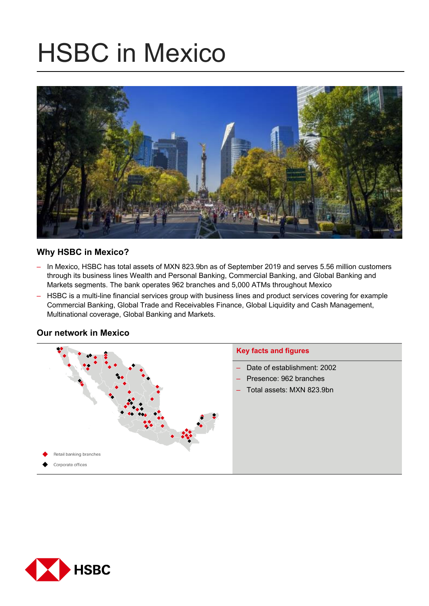# HSBC in Mexico



# **Why HSBC in Mexico?**

- In Mexico, HSBC has total assets of MXN 823.9bn as of September 2019 and serves 5.56 million customers through its business lines Wealth and Personal Banking, Commercial Banking, and Global Banking and Markets segments. The bank operates 962 branches and 5,000 ATMs throughout Mexico
- HSBC is a multi-line financial services group with business lines and product services covering for example Commercial Banking, Global Trade and Receivables Finance, Global Liquidity and Cash Management, Multinational coverage, Global Banking and Markets.



# **Our network in Mexico**